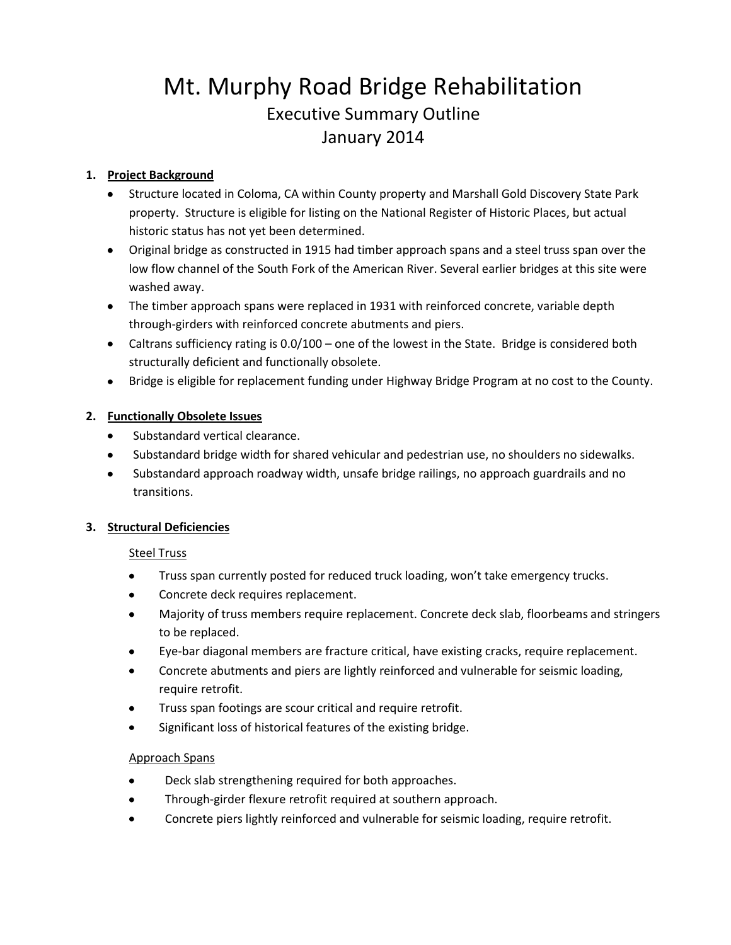# Mt. Murphy Road Bridge Rehabilitation Executive Summary Outline January 2014

#### **1. Project Background**

- Structure located in Coloma, CA within County property and Marshall Gold Discovery State Park property. Structure is eligible for listing on the National Register of Historic Places, but actual historic status has not yet been determined.
- Original bridge as constructed in 1915 had timber approach spans and a steel truss span over the low flow channel of the South Fork of the American River. Several earlier bridges at this site were washed away.
- The timber approach spans were replaced in 1931 with reinforced concrete, variable depth through-girders with reinforced concrete abutments and piers.
- Caltrans sufficiency rating is 0.0/100 one of the lowest in the State. Bridge is considered both structurally deficient and functionally obsolete.
- Bridge is eligible for replacement funding under Highway Bridge Program at no cost to the County.

#### **2. Functionally Obsolete Issues**

- Substandard vertical clearance.
- Substandard bridge width for shared vehicular and pedestrian use, no shoulders no sidewalks.
- Substandard approach roadway width, unsafe bridge railings, no approach guardrails and no  $\bullet$ transitions.

#### **3. Structural Deficiencies**

#### Steel Truss

- $\bullet$ Truss span currently posted for reduced truck loading, won't take emergency trucks.
- $\bullet$ Concrete deck requires replacement.
- Majority of truss members require replacement. Concrete deck slab, floorbeams and stringers  $\bullet$ to be replaced.
- Eye-bar diagonal members are fracture critical, have existing cracks, require replacement.
- Concrete abutments and piers are lightly reinforced and vulnerable for seismic loading, require retrofit.
- Truss span footings are scour critical and require retrofit.
- Significant loss of historical features of the existing bridge.

#### Approach Spans

- Deck slab strengthening required for both approaches.
- Through-girder flexure retrofit required at southern approach.  $\bullet$
- Concrete piers lightly reinforced and vulnerable for seismic loading, require retrofit.